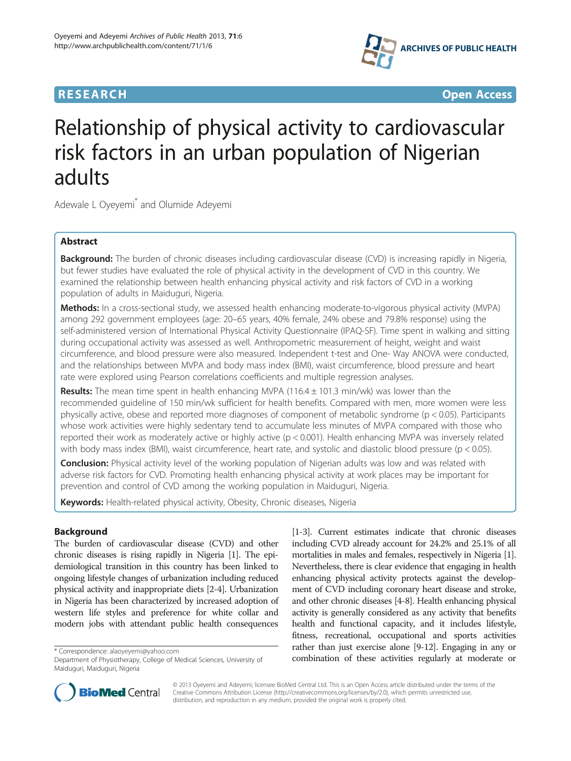## **RESEARCH RESEARCH** *CHECK CHECK CHECK CHECK CHECK CHECK CHECK CHECK CHECK CHECK CHECK CHECK CHECK CHECK CHECK CHECK CHECK CHECK CHECK CHECK CHECK CHECK CHECK CHECK CHECK CHECK CHECK CHECK CHECK CHECK CHECK CHECK CHECK*



# Relationship of physical activity to cardiovascular risk factors in an urban population of Nigerian adults

Adewale L Oyeyemi\* and Olumide Adeyemi

## Abstract

Background: The burden of chronic diseases including cardiovascular disease (CVD) is increasing rapidly in Nigeria, but fewer studies have evaluated the role of physical activity in the development of CVD in this country. We examined the relationship between health enhancing physical activity and risk factors of CVD in a working population of adults in Maiduguri, Nigeria.

Methods: In a cross-sectional study, we assessed health enhancing moderate-to-vigorous physical activity (MVPA) among 292 government employees (age: 20–65 years, 40% female, 24% obese and 79.8% response) using the self-administered version of International Physical Activity Questionnaire (IPAQ-SF). Time spent in walking and sitting during occupational activity was assessed as well. Anthropometric measurement of height, weight and waist circumference, and blood pressure were also measured. Independent t-test and One- Way ANOVA were conducted, and the relationships between MVPA and body mass index (BMI), waist circumference, blood pressure and heart rate were explored using Pearson correlations coefficients and multiple regression analyses.

**Results:** The mean time spent in health enhancing MVPA (116.4  $\pm$  101.3 min/wk) was lower than the recommended guideline of 150 min/wk sufficient for health benefits. Compared with men, more women were less physically active, obese and reported more diagnoses of component of metabolic syndrome (p < 0.05). Participants whose work activities were highly sedentary tend to accumulate less minutes of MVPA compared with those who reported their work as moderately active or highly active (p < 0.001). Health enhancing MVPA was inversely related with body mass index (BMI), waist circumference, heart rate, and systolic and diastolic blood pressure (p < 0.05).

**Conclusion:** Physical activity level of the working population of Nigerian adults was low and was related with adverse risk factors for CVD. Promoting health enhancing physical activity at work places may be important for prevention and control of CVD among the working population in Maiduguri, Nigeria.

Keywords: Health-related physical activity, Obesity, Chronic diseases, Nigeria

## Background

The burden of cardiovascular disease (CVD) and other chronic diseases is rising rapidly in Nigeria [\[1](#page-7-0)]. The epidemiological transition in this country has been linked to ongoing lifestyle changes of urbanization including reduced physical activity and inappropriate diets [\[2](#page-7-0)-[4](#page-7-0)]. Urbanization in Nigeria has been characterized by increased adoption of western life styles and preference for white collar and modern jobs with attendant public health consequences

[[1-3\]](#page-7-0). Current estimates indicate that chronic diseases including CVD already account for 24.2% and 25.1% of all mortalities in males and females, respectively in Nigeria [[1](#page-7-0)]. Nevertheless, there is clear evidence that engaging in health enhancing physical activity protects against the development of CVD including coronary heart disease and stroke, and other chronic diseases [[4](#page-7-0)-[8](#page-7-0)]. Health enhancing physical activity is generally considered as any activity that benefits health and functional capacity, and it includes lifestyle, fitness, recreational, occupational and sports activities rather than just exercise alone [\[9](#page-7-0)-[12](#page-7-0)]. Engaging in any or correspondence: [alaoyeyemi@yahoo.com](mailto:alaoyeyemi@yahoo.com) **inter activities regularly at moderate or Correspondence: alaoyeyemi@yahoo.com**<br>Department of Physiotherapy, College of Medical Sciences, University of **combination of these activiti** 



© 2013 Oyeyemi and Adeyemi; licensee BioMed Central Ltd. This is an Open Access article distributed under the terms of the Creative Commons Attribution License (<http://creativecommons.org/licenses/by/2.0>), which permits unrestricted use, distribution, and reproduction in any medium, provided the original work is properly cited.

Department of Physiotherapy, College of Medical Sciences, University of Maiduguri, Maiduguri, Nigeria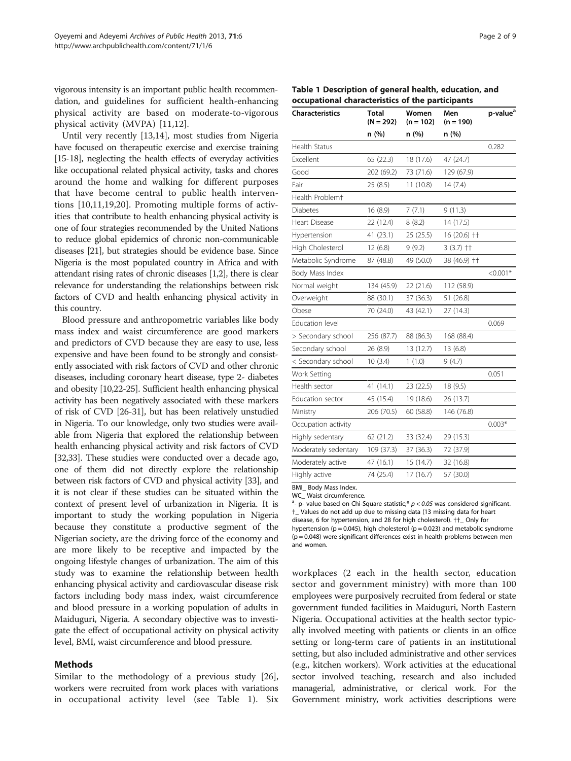<span id="page-1-0"></span>vigorous intensity is an important public health recommendation, and guidelines for sufficient health-enhancing physical activity are based on moderate-to-vigorous physical activity (MVPA) [[11,12\]](#page-7-0).

Until very recently [[13,14\]](#page-7-0), most studies from Nigeria have focused on therapeutic exercise and exercise training [[15](#page-7-0)-[18\]](#page-7-0), neglecting the health effects of everyday activities like occupational related physical activity, tasks and chores around the home and walking for different purposes that have become central to public health interventions [\[10](#page-7-0),[11,19,20](#page-7-0)]. Promoting multiple forms of activities that contribute to health enhancing physical activity is one of four strategies recommended by the United Nations to reduce global epidemics of chronic non-communicable diseases [\[21](#page-7-0)], but strategies should be evidence base. Since Nigeria is the most populated country in Africa and with attendant rising rates of chronic diseases [\[1,2\]](#page-7-0), there is clear relevance for understanding the relationships between risk factors of CVD and health enhancing physical activity in this country.

Blood pressure and anthropometric variables like body mass index and waist circumference are good markers and predictors of CVD because they are easy to use, less expensive and have been found to be strongly and consistently associated with risk factors of CVD and other chronic diseases, including coronary heart disease, type 2- diabetes and obesity [\[10,22](#page-7-0)-[25](#page-7-0)]. Sufficient health enhancing physical activity has been negatively associated with these markers of risk of CVD [[26](#page-7-0)-[31](#page-7-0)], but has been relatively unstudied in Nigeria. To our knowledge, only two studies were available from Nigeria that explored the relationship between health enhancing physical activity and risk factors of CVD [[32,33\]](#page-7-0). These studies were conducted over a decade ago, one of them did not directly explore the relationship between risk factors of CVD and physical activity [\[33\]](#page-7-0), and it is not clear if these studies can be situated within the context of present level of urbanization in Nigeria. It is important to study the working population in Nigeria because they constitute a productive segment of the Nigerian society, are the driving force of the economy and are more likely to be receptive and impacted by the ongoing lifestyle changes of urbanization. The aim of this study was to examine the relationship between health enhancing physical activity and cardiovascular disease risk factors including body mass index, waist circumference and blood pressure in a working population of adults in Maiduguri, Nigeria. A secondary objective was to investigate the effect of occupational activity on physical activity level, BMI, waist circumference and blood pressure.

## Methods

Similar to the methodology of a previous study [\[26](#page-7-0)], workers were recruited from work places with variations in occupational activity level (see Table 1). Six

Table 1 Description of general health, education, and occupational characteristics of the participants

| <b>Characteristics</b> | <b>Total</b><br>Women<br>$(N = 292)$<br>$(n = 102)$ |           | Men<br>$(n = 190)$ | p-value <sup>a</sup> |
|------------------------|-----------------------------------------------------|-----------|--------------------|----------------------|
|                        | n (%)                                               | n (%)     | n (%)              |                      |
| Health Status          |                                                     |           |                    | 0.282                |
| Excellent              | 65 (22.3)                                           | 18 (17.6) | 47 (24.7)          |                      |
| Good                   | 202 (69.2)                                          | 73 (71.6) | 129 (67.9)         |                      |
| Fair                   | 25 (8.5)                                            | 11(10.8)  | 14(7.4)            |                      |
| Health Problemt        |                                                     |           |                    |                      |
| Diabetes               | 16 (8.9)                                            | 7(7.1)    | 9(11.3)            |                      |
| <b>Heart Disease</b>   | 22 (12.4)                                           | 8(8.2)    | 14 (17.5)          |                      |
| Hypertension           | 41 (23.1)                                           | 25 (25.5) | 16 (20.6) ††       |                      |
| High Cholesterol       | 12 (6.8)                                            | 9(9.2)    | $3(3.7)$ ††        |                      |
| Metabolic Syndrome     | 87 (48.8)                                           | 49 (50.0) | 38 (46.9) ††       |                      |
| Body Mass Index        |                                                     |           |                    | $< 0.001*$           |
| Normal weight          | 134 (45.9)                                          | 22 (21.6) | 112 (58.9)         |                      |
| Overweight             | 88 (30.1)                                           | 37 (36.3) | 51 (26.8)          |                      |
| Obese                  | 70 (24.0)                                           | 43 (42.1) | 27 (14.3)          |                      |
| <b>Education level</b> |                                                     |           |                    | 0.069                |
| > Secondary school     | 256 (87.7)                                          | 88 (86.3) | 168 (88.4)         |                      |
| Secondary school       | 26 (8.9)                                            | 13 (12.7) | 13 (6.8)           |                      |
| < Secondary school     | 10(3.4)                                             | 1(1.0)    | 9(4.7)             |                      |
| Work Setting           |                                                     |           |                    | 0.051                |
| Health sector          | 41 (14.1)                                           | 23 (22.5) | 18 (9.5)           |                      |
| Education sector       | 45 (15.4)                                           | 19 (18.6) | 26 (13.7)          |                      |
| Ministry               | 206 (70.5)                                          | 60 (58.8) | 146 (76.8)         |                      |
| Occupation activity    |                                                     |           |                    | $0.003*$             |
| Highly sedentary       | 62 (21.2)                                           | 33 (32.4) | 29 (15.3)          |                      |
| Moderately sedentary   | 109 (37.3)                                          | 37 (36.3) | 72 (37.9)          |                      |
| Moderately active      | 47 (16.1)                                           | 15 (14.7) | 32 (16.8)          |                      |
| Highly active          | 74 (25.4)                                           | 17 (16.7) | 57 (30.0)          |                      |

BMI\_ Body Mass Index.

WC Waist circumference.

<sup>a</sup>- p- value based on Chi-Square statistic;\*  $p < 0.05$  was considered significant. †\_ Values do not add up due to missing data (13 missing data for heart disease, 6 for hypertension, and 28 for high cholesterol). ††\_ Only for hypertension ( $p = 0.045$ ), high cholesterol ( $p = 0.023$ ) and metabolic syndrome  $(p = 0.048)$  were significant differences exist in health problems between men and women.

workplaces (2 each in the health sector, education sector and government ministry) with more than 100 employees were purposively recruited from federal or state government funded facilities in Maiduguri, North Eastern Nigeria. Occupational activities at the health sector typically involved meeting with patients or clients in an office setting or long-term care of patients in an institutional setting, but also included administrative and other services (e.g., kitchen workers). Work activities at the educational sector involved teaching, research and also included managerial, administrative, or clerical work. For the Government ministry, work activities descriptions were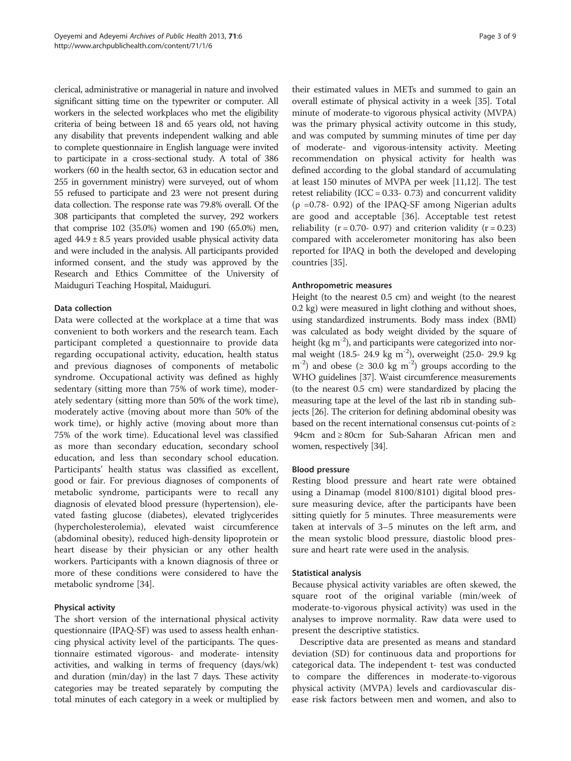clerical, administrative or managerial in nature and involved significant sitting time on the typewriter or computer. All workers in the selected workplaces who met the eligibility criteria of being between 18 and 65 years old, not having any disability that prevents independent walking and able to complete questionnaire in English language were invited to participate in a cross-sectional study. A total of 386 workers (60 in the health sector, 63 in education sector and 255 in government ministry) were surveyed, out of whom 55 refused to participate and 23 were not present during data collection. The response rate was 79.8% overall. Of the 308 participants that completed the survey, 292 workers that comprise 102 (35.0%) women and 190 (65.0%) men, aged  $44.9 \pm 8.5$  years provided usable physical activity data and were included in the analysis. All participants provided informed consent, and the study was approved by the Research and Ethics Committee of the University of Maiduguri Teaching Hospital, Maiduguri.

## Data collection

Data were collected at the workplace at a time that was convenient to both workers and the research team. Each participant completed a questionnaire to provide data regarding occupational activity, education, health status and previous diagnoses of components of metabolic syndrome. Occupational activity was defined as highly sedentary (sitting more than 75% of work time), moderately sedentary (sitting more than 50% of the work time), moderately active (moving about more than 50% of the work time), or highly active (moving about more than 75% of the work time). Educational level was classified as more than secondary education, secondary school education, and less than secondary school education. Participants' health status was classified as excellent, good or fair. For previous diagnoses of components of metabolic syndrome, participants were to recall any diagnosis of elevated blood pressure (hypertension), elevated fasting glucose (diabetes), elevated triglycerides (hypercholesterolemia), elevated waist circumference (abdominal obesity), reduced high-density lipoprotein or heart disease by their physician or any other health workers. Participants with a known diagnosis of three or more of these conditions were considered to have the metabolic syndrome [[34\]](#page-7-0).

#### Physical activity

The short version of the international physical activity questionnaire (IPAQ-SF) was used to assess health enhancing physical activity level of the participants. The questionnaire estimated vigorous- and moderate- intensity activities, and walking in terms of frequency (days/wk) and duration (min/day) in the last 7 days. These activity categories may be treated separately by computing the total minutes of each category in a week or multiplied by

their estimated values in METs and summed to gain an overall estimate of physical activity in a week [[35](#page-8-0)]. Total minute of moderate-to vigorous physical activity (MVPA) was the primary physical activity outcome in this study, and was computed by summing minutes of time per day of moderate- and vigorous-intensity activity. Meeting recommendation on physical activity for health was defined according to the global standard of accumulating at least 150 minutes of MVPA per week [\[11,12\]](#page-7-0). The test retest reliability (ICC =  $0.33 - 0.73$ ) and concurrent validity (ρ =0.78- 0.92) of the IPAQ-SF among Nigerian adults are good and acceptable [\[36](#page-8-0)]. Acceptable test retest reliability ( $r = 0.70 - 0.97$ ) and criterion validity ( $r = 0.23$ ) compared with accelerometer monitoring has also been reported for IPAQ in both the developed and developing countries [\[35](#page-8-0)].

## Anthropometric measures

Height (to the nearest 0.5 cm) and weight (to the nearest 0.2 kg) were measured in light clothing and without shoes, using standardized instruments. Body mass index (BMI) was calculated as body weight divided by the square of height ( $\text{kg m}^{-2}$ ), and participants were categorized into normal weight (18.5- 24.9 kg m<sup>-2</sup>), overweight (25.0- 29.9 kg  $\text{m}^{-2}$ ) and obese ( $\geq 30.0 \text{ kg m}^{-2}$ ) groups according to the WHO guidelines [\[37](#page-8-0)]. Waist circumference measurements (to the nearest 0.5 cm) were standardized by placing the measuring tape at the level of the last rib in standing subjects [\[26\]](#page-7-0). The criterion for defining abdominal obesity was based on the recent international consensus cut-points of ≥ 94cm and ≥ 80cm for Sub-Saharan African men and women, respectively [\[34\]](#page-7-0).

#### Blood pressure

Resting blood pressure and heart rate were obtained using a Dinamap (model 8100/8101) digital blood pressure measuring device, after the participants have been sitting quietly for 5 minutes. Three measurements were taken at intervals of 3–5 minutes on the left arm, and the mean systolic blood pressure, diastolic blood pressure and heart rate were used in the analysis.

#### Statistical analysis

Because physical activity variables are often skewed, the square root of the original variable (min/week of moderate-to-vigorous physical activity) was used in the analyses to improve normality. Raw data were used to present the descriptive statistics.

Descriptive data are presented as means and standard deviation (SD) for continuous data and proportions for categorical data. The independent t- test was conducted to compare the differences in moderate-to-vigorous physical activity (MVPA) levels and cardiovascular disease risk factors between men and women, and also to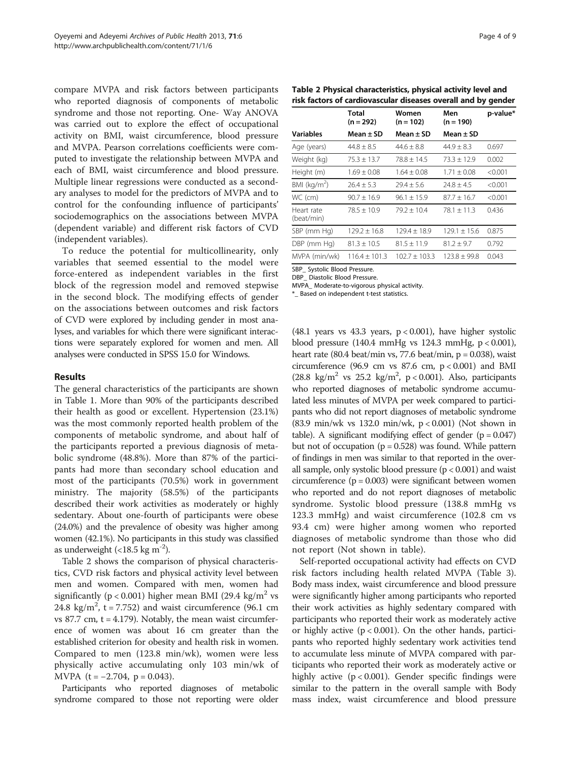compare MVPA and risk factors between participants who reported diagnosis of components of metabolic syndrome and those not reporting. One- Way ANOVA was carried out to explore the effect of occupational activity on BMI, waist circumference, blood pressure and MVPA. Pearson correlations coefficients were computed to investigate the relationship between MVPA and each of BMI, waist circumference and blood pressure. Multiple linear regressions were conducted as a secondary analyses to model for the predictors of MVPA and to control for the confounding influence of participants' sociodemographics on the associations between MVPA (dependent variable) and different risk factors of CVD (independent variables).

To reduce the potential for multicollinearity, only variables that seemed essential to the model were force-entered as independent variables in the first block of the regression model and removed stepwise in the second block. The modifying effects of gender on the associations between outcomes and risk factors of CVD were explored by including gender in most analyses, and variables for which there were significant interactions were separately explored for women and men. All analyses were conducted in SPSS 15.0 for Windows.

## Results

The general characteristics of the participants are shown in Table [1.](#page-1-0) More than 90% of the participants described their health as good or excellent. Hypertension (23.1%) was the most commonly reported health problem of the components of metabolic syndrome, and about half of the participants reported a previous diagnosis of metabolic syndrome (48.8%). More than 87% of the participants had more than secondary school education and most of the participants (70.5%) work in government ministry. The majority (58.5%) of the participants described their work activities as moderately or highly sedentary. About one-fourth of participants were obese (24.0%) and the prevalence of obesity was higher among women (42.1%). No participants in this study was classified as underweight  $\left($  < 18.5 kg m<sup>-2</sup>).

Table 2 shows the comparison of physical characteristics, CVD risk factors and physical activity level between men and women. Compared with men, women had significantly ( $p < 0.001$ ) higher mean BMI (29.4 kg/m<sup>2</sup> vs 24.8  $\text{kg/m}^2$ , t = 7.752) and waist circumference (96.1 cm vs 87.7 cm,  $t = 4.179$ ). Notably, the mean waist circumference of women was about 16 cm greater than the established criterion for obesity and health risk in women. Compared to men (123.8 min/wk), women were less physically active accumulating only 103 min/wk of MVPA  $(t = -2.704, p = 0.043)$ .

Participants who reported diagnoses of metabolic syndrome compared to those not reporting were older

| Table 2 Physical characteristics, physical activity level and |
|---------------------------------------------------------------|
| risk factors of cardiovascular diseases overall and by gender |

|                          | Total<br>$(n = 292)$ | Women<br>$(n = 102)$ | Men<br>$(n = 190)$ | p-value* |  |
|--------------------------|----------------------|----------------------|--------------------|----------|--|
| <b>Variables</b>         | Mean $\pm$ SD        | Mean ± SD            | Mean ± SD          |          |  |
| Age (years)              | $44.8 + 8.5$         | $44.6 + 8.8$         | $44.9 + 8.3$       | 0.697    |  |
| Weight (kg)              | $75.3 + 13.7$        | $78.8 + 14.5$        | $73.3 + 12.9$      | 0.002    |  |
| Height (m)               | $1.69 + 0.08$        | $1.64 + 0.08$        | $1.71 + 0.08$      | < 0.001  |  |
| BMI (kg/m <sup>2</sup> ) | $76.4 + 5.3$         | $79.4 + 5.6$         | $74.8 + 4.5$       | < 0.001  |  |
| WC (cm)                  | $90.7 \pm 16.9$      | $96.1 \pm 15.9$      | $87.7 \pm 16.7$    | < 0.001  |  |
| Heart rate<br>(beat/min) | $78.5 + 10.9$        | $79.2 + 10.4$        | $78.1 + 11.3$      | 0.436    |  |
| SBP (mm Hg)              | 129.2 + 16.8         | $129.4 + 18.9$       | $129.1 + 15.6$     | 0.875    |  |
| DBP (mm Hg)              | $81.3 + 10.5$        | $81.5 + 11.9$        | $81.2 \pm 9.7$     | 0.792    |  |
| MVPA (min/wk)            | $116.4 + 101.3$      | $102.7 + 103.3$      | $123.8 + 99.8$     | 0.043    |  |

SBP Systolic Blood Pressure.

DRP Diastolic Blood Pressure.

MVPA\_ Moderate-to-vigorous physical activity.

\*\_ Based on independent t-test statistics.

(48.1 years vs 43.3 years,  $p < 0.001$ ), have higher systolic blood pressure (140.4 mmHg vs 124.3 mmHg,  $p < 0.001$ ), heart rate (80.4 beat/min vs, 77.6 beat/min,  $p = 0.038$ ), waist circumference (96.9 cm vs  $87.6$  cm,  $p < 0.001$ ) and BMI (28.8 kg/m<sup>2</sup> vs 25.2 kg/m<sup>2</sup>, p < 0.001). Also, participants who reported diagnoses of metabolic syndrome accumulated less minutes of MVPA per week compared to participants who did not report diagnoses of metabolic syndrome (83.9 min/wk vs 132.0 min/wk,  $p < 0.001$ ) (Not shown in table). A significant modifying effect of gender  $(p = 0.047)$ but not of occupation  $(p = 0.528)$  was found. While pattern of findings in men was similar to that reported in the overall sample, only systolic blood pressure  $(p < 0.001)$  and waist circumference  $(p = 0.003)$  were significant between women who reported and do not report diagnoses of metabolic syndrome. Systolic blood pressure (138.8 mmHg vs 123.3 mmHg) and waist circumference (102.8 cm vs 93.4 cm) were higher among women who reported diagnoses of metabolic syndrome than those who did not report (Not shown in table).

Self-reported occupational activity had effects on CVD risk factors including health related MVPA (Table [3](#page-4-0)). Body mass index, waist circumference and blood pressure were significantly higher among participants who reported their work activities as highly sedentary compared with participants who reported their work as moderately active or highly active ( $p < 0.001$ ). On the other hands, participants who reported highly sedentary work activities tend to accumulate less minute of MVPA compared with participants who reported their work as moderately active or highly active  $(p < 0.001)$ . Gender specific findings were similar to the pattern in the overall sample with Body mass index, waist circumference and blood pressure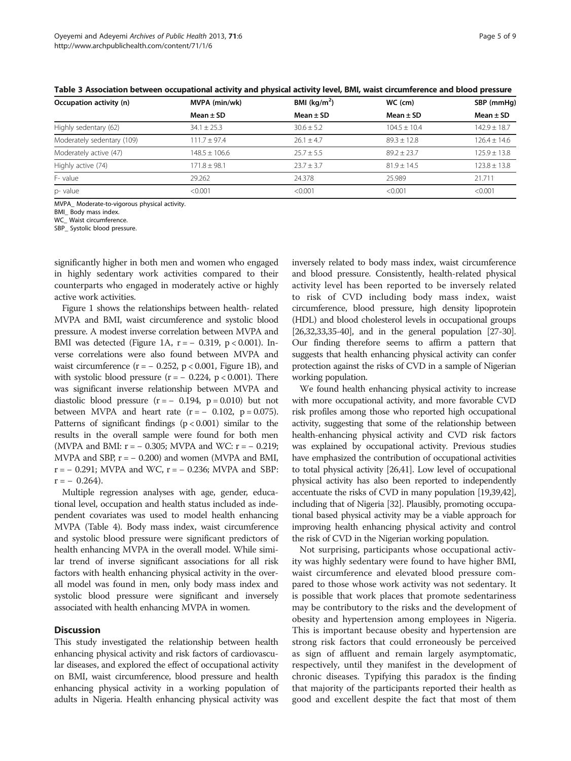| Occupation activity (n)    | MVPA (min/wk)     | BMI ( $kg/m2$ ) | WC (cm)         | SBP (mmHg)       |
|----------------------------|-------------------|-----------------|-----------------|------------------|
|                            | Mean $\pm$ SD     | Mean $\pm$ SD   | Mean $\pm$ SD   | Mean $\pm$ SD    |
| Highly sedentary (62)      | $34.1 + 25.3$     | $30.6 + 5.2$    | $104.5 + 10.4$  | $142.9 + 18.7$   |
| Moderately sedentary (109) | $111.7 + 97.4$    | $26.1 + 4.7$    | $89.3 + 12.8$   | $126.4 + 14.6$   |
| Moderately active (47)     | $148.5 \pm 106.6$ | $25.7 \pm 5.5$  | $89.2 \pm 23.7$ | $125.9 \pm 13.8$ |
| Highly active (74)         | $171.8 + 98.1$    | $23.7 + 3.7$    | $81.9 + 14.5$   | $123.8 + 13.8$   |
| F-value                    | 29.262            | 24.378          | 25.989          | 21.711           |
| p-value                    | < 0.001           | < 0.001         | < 0.001         | < 0.001          |

<span id="page-4-0"></span>Table 3 Association between occupational activity and physical activity level, BMI, waist circumference and blood pressure

MVPA\_ Moderate-to-vigorous physical activity.

BMI Body mass index.

WC\_ Waist circumference.

SBP\_ Systolic blood pressure.

significantly higher in both men and women who engaged in highly sedentary work activities compared to their counterparts who engaged in moderately active or highly active work activities.

Figure [1](#page-5-0) shows the relationships between health- related MVPA and BMI, waist circumference and systolic blood pressure. A modest inverse correlation between MVPA and BMI was detected (Figure [1](#page-5-0)A,  $r = -0.319$ ,  $p < 0.001$ ). Inverse correlations were also found between MVPA and waist circumference ( $r = -0.252$ ,  $p < 0.001$ , Figure [1](#page-5-0)B), and with systolic blood pressure ( $r = -0.224$ ,  $p < 0.001$ ). There was significant inverse relationship between MVPA and diastolic blood pressure  $(r = -0.194, p = 0.010)$  but not between MVPA and heart rate  $(r = -0.102, p = 0.075)$ . Patterns of significant findings  $(p < 0.001)$  similar to the results in the overall sample were found for both men (MVPA and BMI:  $r = -0.305$ ; MVPA and WC:  $r = -0.219$ ; MVPA and SBP,  $r = -0.200$ ) and women (MVPA and BMI, r = − 0.291; MVPA and WC, r = − 0.236; MVPA and SBP:  $r = -0.264$ .

Multiple regression analyses with age, gender, educational level, occupation and health status included as independent covariates was used to model health enhancing MVPA (Table [4\)](#page-5-0). Body mass index, waist circumference and systolic blood pressure were significant predictors of health enhancing MVPA in the overall model. While similar trend of inverse significant associations for all risk factors with health enhancing physical activity in the overall model was found in men, only body mass index and systolic blood pressure were significant and inversely associated with health enhancing MVPA in women.

#### **Discussion**

This study investigated the relationship between health enhancing physical activity and risk factors of cardiovascular diseases, and explored the effect of occupational activity on BMI, waist circumference, blood pressure and health enhancing physical activity in a working population of adults in Nigeria. Health enhancing physical activity was inversely related to body mass index, waist circumference and blood pressure. Consistently, health-related physical activity level has been reported to be inversely related to risk of CVD including body mass index, waist circumference, blood pressure, high density lipoprotein (HDL) and blood cholesterol levels in occupational groups [[26,32,33](#page-7-0)[,35](#page-8-0)-[40](#page-8-0)], and in the general population [\[27-30](#page-7-0)]. Our finding therefore seems to affirm a pattern that suggests that health enhancing physical activity can confer protection against the risks of CVD in a sample of Nigerian working population.

We found health enhancing physical activity to increase with more occupational activity, and more favorable CVD risk profiles among those who reported high occupational activity, suggesting that some of the relationship between health-enhancing physical activity and CVD risk factors was explained by occupational activity. Previous studies have emphasized the contribution of occupational activities to total physical activity [\[26,](#page-7-0)[41](#page-8-0)]. Low level of occupational physical activity has also been reported to independently accentuate the risks of CVD in many population [\[19,](#page-7-0)[39,42](#page-8-0)], including that of Nigeria [[32](#page-7-0)]. Plausibly, promoting occupational based physical activity may be a viable approach for improving health enhancing physical activity and control the risk of CVD in the Nigerian working population.

Not surprising, participants whose occupational activity was highly sedentary were found to have higher BMI, waist circumference and elevated blood pressure compared to those whose work activity was not sedentary. It is possible that work places that promote sedentariness may be contributory to the risks and the development of obesity and hypertension among employees in Nigeria. This is important because obesity and hypertension are strong risk factors that could erroneously be perceived as sign of affluent and remain largely asymptomatic, respectively, until they manifest in the development of chronic diseases. Typifying this paradox is the finding that majority of the participants reported their health as good and excellent despite the fact that most of them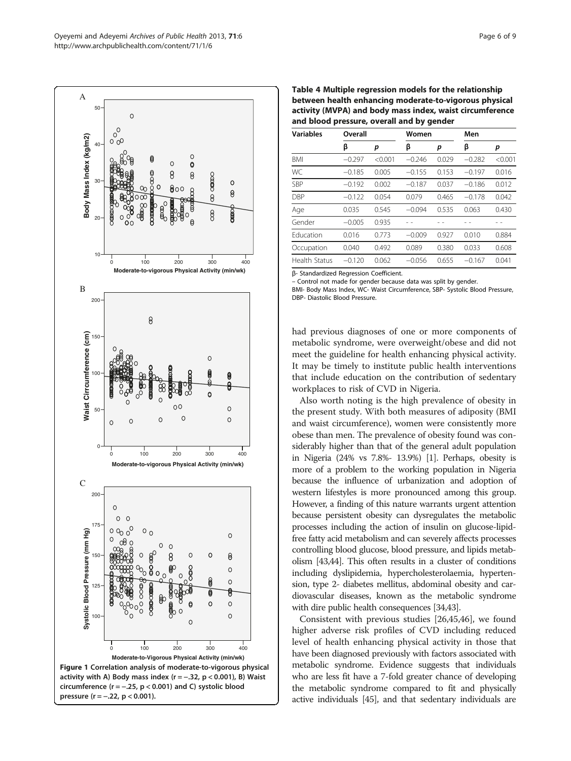<span id="page-5-0"></span>

Table 4 Multiple regression models for the relationship between health enhancing moderate-to-vigorous physical activity (MVPA) and body mass index, waist circumference and blood pressure, overall and by gender

| <b>Variables</b> | Overall  |         | Women    |       | Men      |         |
|------------------|----------|---------|----------|-------|----------|---------|
|                  | β        | р       | β        | р     | β        | р       |
| <b>BMI</b>       | $-0.297$ | < 0.001 | $-0.246$ | 0.029 | $-0.282$ | < 0.001 |
| WC.              | $-0.185$ | 0.005   | $-0.155$ | 0.153 | $-0.197$ | 0.016   |
| <b>SBP</b>       | $-0.192$ | 0.002   | $-0.187$ | 0.037 | $-0.186$ | 0.012   |
| <b>DBP</b>       | $-0.122$ | 0.054   | 0.079    | 0.465 | $-0.178$ | 0.042   |
| Age              | 0.035    | 0.545   | $-0.094$ | 0.535 | 0.063    | 0.430   |
| Gender           | $-0.005$ | 0.935   |          |       |          |         |
| Fducation        | 0.016    | 0.773   | $-0.009$ | 0.927 | 0.010    | 0.884   |
| Occupation       | 0.040    | 0.492   | 0.089    | 0.380 | 0.033    | 0.608   |
| Health Status    | $-0.120$ | 0.062   | $-0.056$ | 0.655 | $-0.167$ | 0.041   |

β- Standardized Regression Coefficient.

– Control not made for gender because data was split by gender.

BMI- Body Mass Index, WC- Waist Circumference, SBP- Systolic Blood Pressure, DBP- Diastolic Blood Pressure.

had previous diagnoses of one or more components of metabolic syndrome, were overweight/obese and did not meet the guideline for health enhancing physical activity. It may be timely to institute public health interventions that include education on the contribution of sedentary workplaces to risk of CVD in Nigeria.

Also worth noting is the high prevalence of obesity in the present study. With both measures of adiposity (BMI and waist circumference), women were consistently more obese than men. The prevalence of obesity found was considerably higher than that of the general adult population in Nigeria (24% vs 7.8%- 13.9%) [[1](#page-7-0)]. Perhaps, obesity is more of a problem to the working population in Nigeria because the influence of urbanization and adoption of western lifestyles is more pronounced among this group. However, a finding of this nature warrants urgent attention because persistent obesity can dysregulates the metabolic processes including the action of insulin on glucose-lipidfree fatty acid metabolism and can severely affects processes controlling blood glucose, blood pressure, and lipids metabolism [[43,44\]](#page-8-0). This often results in a cluster of conditions including dyslipidemia, hypercholesterolaemia, hypertension, type 2- diabetes mellitus, abdominal obesity and cardiovascular diseases, known as the metabolic syndrome with dire public health consequences [\[34](#page-7-0)[,43\]](#page-8-0).

Consistent with previous studies [\[26](#page-7-0)[,45,46\]](#page-8-0), we found higher adverse risk profiles of CVD including reduced level of health enhancing physical activity in those that have been diagnosed previously with factors associated with metabolic syndrome. Evidence suggests that individuals who are less fit have a 7-fold greater chance of developing the metabolic syndrome compared to fit and physically active individuals [\[45](#page-8-0)], and that sedentary individuals are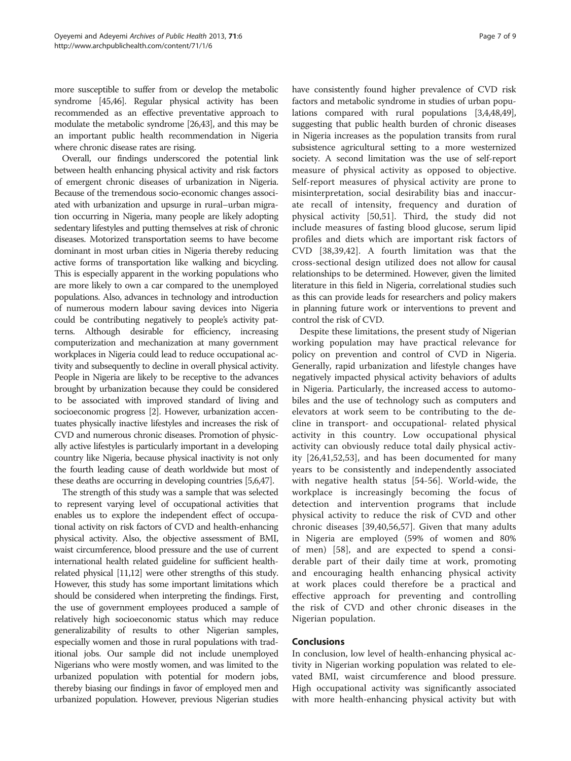more susceptible to suffer from or develop the metabolic syndrome [\[45,46\]](#page-8-0). Regular physical activity has been recommended as an effective preventative approach to modulate the metabolic syndrome [\[26](#page-7-0)[,43\]](#page-8-0), and this may be an important public health recommendation in Nigeria where chronic disease rates are rising.

Overall, our findings underscored the potential link between health enhancing physical activity and risk factors of emergent chronic diseases of urbanization in Nigeria. Because of the tremendous socio-economic changes associated with urbanization and upsurge in rural–urban migration occurring in Nigeria, many people are likely adopting sedentary lifestyles and putting themselves at risk of chronic diseases. Motorized transportation seems to have become dominant in most urban cities in Nigeria thereby reducing active forms of transportation like walking and bicycling. This is especially apparent in the working populations who are more likely to own a car compared to the unemployed populations. Also, advances in technology and introduction of numerous modern labour saving devices into Nigeria could be contributing negatively to people's activity patterns. Although desirable for efficiency, increasing computerization and mechanization at many government workplaces in Nigeria could lead to reduce occupational activity and subsequently to decline in overall physical activity. People in Nigeria are likely to be receptive to the advances brought by urbanization because they could be considered to be associated with improved standard of living and socioeconomic progress [\[2\]](#page-7-0). However, urbanization accentuates physically inactive lifestyles and increases the risk of CVD and numerous chronic diseases. Promotion of physically active lifestyles is particularly important in a developing country like Nigeria, because physical inactivity is not only the fourth leading cause of death worldwide but most of these deaths are occurring in developing countries [\[5,6,](#page-7-0)[47](#page-8-0)].

The strength of this study was a sample that was selected to represent varying level of occupational activities that enables us to explore the independent effect of occupational activity on risk factors of CVD and health-enhancing physical activity. Also, the objective assessment of BMI, waist circumference, blood pressure and the use of current international health related guideline for sufficient healthrelated physical [[11,12\]](#page-7-0) were other strengths of this study. However, this study has some important limitations which should be considered when interpreting the findings. First, the use of government employees produced a sample of relatively high socioeconomic status which may reduce generalizability of results to other Nigerian samples, especially women and those in rural populations with traditional jobs. Our sample did not include unemployed Nigerians who were mostly women, and was limited to the urbanized population with potential for modern jobs, thereby biasing our findings in favor of employed men and urbanized population. However, previous Nigerian studies

have consistently found higher prevalence of CVD risk factors and metabolic syndrome in studies of urban populations compared with rural populations [\[3,4](#page-7-0)[,48,49](#page-8-0)], suggesting that public health burden of chronic diseases in Nigeria increases as the population transits from rural subsistence agricultural setting to a more westernized society. A second limitation was the use of self-report measure of physical activity as opposed to objective. Self-report measures of physical activity are prone to misinterpretation, social desirability bias and inaccurate recall of intensity, frequency and duration of physical activity [[50,51](#page-8-0)]. Third, the study did not include measures of fasting blood glucose, serum lipid profiles and diets which are important risk factors of CVD [\[38](#page-8-0),[39,42\]](#page-8-0). A fourth limitation was that the cross-sectional design utilized does not allow for causal relationships to be determined. However, given the limited literature in this field in Nigeria, correlational studies such as this can provide leads for researchers and policy makers in planning future work or interventions to prevent and control the risk of CVD.

Despite these limitations, the present study of Nigerian working population may have practical relevance for policy on prevention and control of CVD in Nigeria. Generally, rapid urbanization and lifestyle changes have negatively impacted physical activity behaviors of adults in Nigeria. Particularly, the increased access to automobiles and the use of technology such as computers and elevators at work seem to be contributing to the decline in transport- and occupational- related physical activity in this country. Low occupational physical activity can obviously reduce total daily physical activity [[26](#page-7-0)[,41](#page-8-0),[52,53\]](#page-8-0), and has been documented for many years to be consistently and independently associated with negative health status [[54-56\]](#page-8-0). World-wide, the workplace is increasingly becoming the focus of detection and intervention programs that include physical activity to reduce the risk of CVD and other chronic diseases [[39,40,56](#page-8-0),[57\]](#page-8-0). Given that many adults in Nigeria are employed (59% of women and 80% of men) [[58\]](#page-8-0), and are expected to spend a considerable part of their daily time at work, promoting and encouraging health enhancing physical activity at work places could therefore be a practical and effective approach for preventing and controlling the risk of CVD and other chronic diseases in the Nigerian population.

## Conclusions

In conclusion, low level of health-enhancing physical activity in Nigerian working population was related to elevated BMI, waist circumference and blood pressure. High occupational activity was significantly associated with more health-enhancing physical activity but with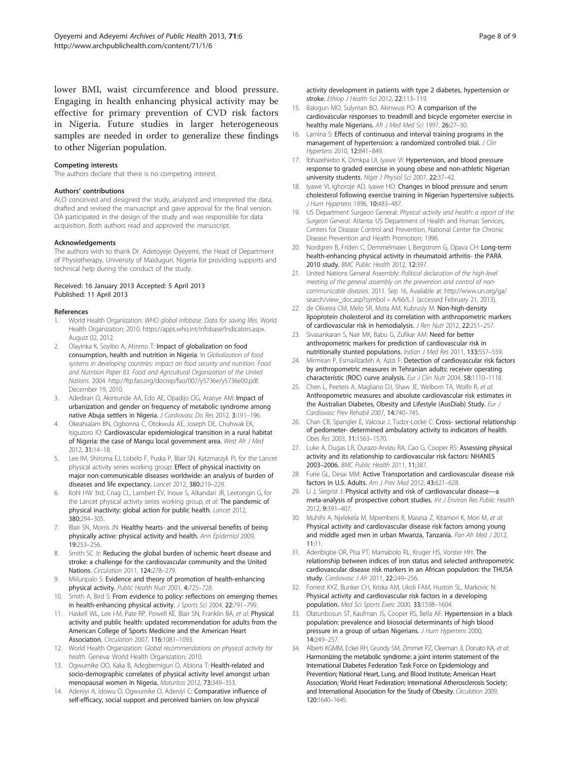<span id="page-7-0"></span>lower BMI, waist circumference and blood pressure. Engaging in health enhancing physical activity may be effective for primary prevention of CVD risk factors in Nigeria. Future studies in larger heterogeneous samples are needed in order to generalize these findings to other Nigerian population.

#### Competing interests

The authors declare that there is no competing interest.

#### Authors' contributions

ALO conceived and designed the study, analyzed and interpreted the data, drafted and revised the manuscript and gave approval for the final version. OA participated in the design of the study and was responsible for data acquisition. Both authors read and approved the manuscript.

#### Acknowledgements

The authors wish to thank Dr. Adetoyeje Oyeyemi, the Head of Department of Physiotherapy, University of Maiduguri, Nigeria for providing supports and technical help during the conduct of the study.

#### Received: 16 January 2013 Accepted: 5 April 2013 Published: 11 April 2013

#### References

- 1. World Health Organization: WHO global infobase. Data for saving lifes. World Health Organization; 2010. [https://apps.who.int/infobase/Indicators.aspx.](https://apps.who.int/infobase/Indicators.aspx) August 02, 2012.
- 2. Olayinka K, Soyibo A, Atinmo T: Impact of globalization on food consumption, health and nutrition in Nigeria. In Globalization of food systems in developing countries: impact on food security and nutrition. Food and Nutrition Paper 83. Food and Agricultural Organization of the United Nations. 2004.<http://ftp.fao.org/docrep/fao/007/y5736e/y5736e00.pdf>. December 19, 2010.
- 3. Adediran O, Akintunde AA, Edo AE, Opadijo OG, Araoye AM: Impact of urbanization and gender on frequency of metabolic syndrome among native Abuja settlers in Nigeria. J Cardiovasc Dis Res 2012, 3:191–196.
- 4. Okeahialam BN, Ogbonna C, Otokwula AE, Joseph DE, Chuhwak EK, Isiguzoro IO: Cardiovascular epidemiological transition in a rural habitat of Nigeria: the case of Mangu local government area. West Afr J Med 2012, 31:14–18.
- 5. Lee IM, Shiroma EJ, Lobelo F, Puska P, Blair SN, Katzmarzyk PI, for the Lancet physical activity series working group: Effect of physical inactivity on major non-communicable diseases worldwide: an analysis of burden of diseases and life expectancy. Lancet 2012, 380:219–229.
- 6. Kohl HW 3rd, Criag CL, Lambert EV, Inoue S, Alkandari JR, Leetongin G, for the Lancet physical activity series working group, et al: The pandemic of physical inactivity: global action for public health. Lancet 2012, 380:294–305.
- 7. Blair SN, Morris JN: Healthy hearts- and the universal benefits of being physically active: physical activity and health. Ann Epidemiol 2009, 19:253–256.
- 8. Smith SC Jr: Reducing the global burden of ischemic heart disease and stroke: a challenge for the cardiovascular community and the United Nations. Circulation 2011, 124:278–279.
- 9. Miilunpalo S: Evidence and theory of promotion of health-enhancing physical activity. Public Health Nutr 2001, 4:725–728.
- 10. Smith A, Bird S: From evidence to policy: reflections on emerging themes in health-enhancing physical activity. J Sports Sci 2004, 22:791-799.
- 11. Haskell WL, Lee I-M, Pate RP, Powell KE, Blair SN, Franklin BA, et al: Physical activity and public health: updated recommendation for adults from the American College of Sports Medicine and the American Heart Association. Circulation 2007, 116:1081–1093.
- 12. World Health Organization: Global recommendations on physical activity for health. Geneva: World Health Organization; 2010.
- 13. Ogwumike OO, Kaka B, Adegbemigun O, Abiona T: Health-related and socio-demographic correlates of physical activity level amongst urban menopausal women in Nigeria. Maturitas 2012, 73:349–353.
- 14. Adeniyi A, Idowu O, Ogwumike O, Adeniyi C: Comparative influence of self-efficacy, social support and perceived barriers on low physical

activity development in patients with type 2 diabetes, hypertension or stroke. Ethiop J Health Sci 2012, 22:113-119.

- 15. Balogun MO, Sulyman BO, Akinwusi PO: A comparison of the cardiovascular responses to treadmill and bicycle ergometer exercise in healthy male Nigerians. Afr J Med Med Sci 1997, 26:27-30.
- 16. Lamina S: Effects of continuous and interval training programs in the management of hypertension: a randomized controlled trial. J Clin Hypertens 2010, 12:841–849.
- 17. Ibhazehiebo K, Dimkpa UI, Iyawe VI: Hypertension, and blood pressure response to graded exercise in young obese and non-athletic Nigerian university students. Niger J Physiol Sci 2007, 22:37–42.
- 18. Iyawe VI, Ighoroje AD, Iyawe HO: Changes in blood pressure and serum cholesterol following exercise training in Nigerian hypertensive subjects. J Hum Hypertens 1996, 10:483–487.
- 19. US Department Surgeon General: Physical activity and health: a report of the Surgeon General. Atlanta: US Department of Health and Human Services, Centers for Disease Control and Prevention, National Center for Chronic Disease Prevention and Health Promotion; 1996.
- 20. Nordgren B, Friden C, Demmelmaier I, Bergstrom G, Opava CH: Long-term health-enhancing physical activity in rheumatoid arthritis- the PARA 2010 study. BMC Public Health 2012, 12:397.
- 21. United Nations General Assembly: Political declaration of the high-level meeting of the general assembly on the prevention and control of noncommunicable diseases. 2011. Sep 16, Available at: [http://www.un.org/ga/](http://www.un.org/ga/search/view_doc.asp?symbol) [search/view\\_doc.asp?symbol](http://www.un.org/ga/search/view_doc.asp?symbol) = A/66/L.1 (accessed February 21, 2013).
- 22. de Oliveira CM, Melo SR, Mota AM, Kubrusly M: Non-high-density lipoprotein cholesterol and its correlation with anthropometric markers of cardiovascular risk in hemodialysis. J Ren Nutr 2012, 22:251–257.
- 23. Sivasankaran S, Nair MK, Babu G, Zufikar AM: Need for better anthropometric markers for prediction of cardiovascular risk in nutritionally stunted populations. Indian J Med Res 2011, 133:557–559.
- 24. Mirmiran P, Esmaillzadeh A, Azizi F: Detection of cardiovascular risk factors by anthropometric measures in Tehranian adults: receiver operating characteristic (ROC) curve analysis. Eur J Clin Nutr 2004, 58:1110-1118.
- 25. Chen L, Peeters A, Magliano DJ, Shaw JE, Welborn TA, Wolfe R, et al: Anthropometric measures and absolute cardiovascular risk estimates in the Australian Diabetes, Obesity and Lifestyle (AusDiab) Study. Eur J Cardiovasc Prev Rehabil 2007, 14:740–745.
- 26. Chan CB, Spangler E, Valcour J, Tudor-Locke C: Cross- sectional relationship of pedometer- determined ambulatory activity to indicators of health. Obes Res 2003, 11:1563–1570.
- 27. Luke A, Dugas LR, Durazo-Arvizu RA, Cao G, Cooper RS: Assessing physical activity and its relationship to cardiovascular risk factors: NHANES 2003–2006. BMC Public Health 2011, 11:387.
- 28. Furie GL, Desai MM: Active Transportation and cardiovascular disease risk factors in U.S. Adults. Am J Prev Med 2012, 43:621–628.
- 29. Li J, Siegrist J: Physical activity and risk of cardiovascular disease-a meta-analysis of prospective cohort studies. Int J Environ Res Public Health 2012, 9:391–407.
- 30. Muhihi A, Njelekela M, Mpembeni R, Masesa Z, Kitamori K, Mori M, et al: Physical activity and cardiovascular disease risk factors among young and middle aged men in urban Mwanza, Tanzania. Pan Afr Med J 2012, 11:11.
- 31. Aderibigbe OR, Pisa PT, Mamabolo RL, Kruger HS, Vorster HH: The relationship between indices of iron status and selected anthropometric cardiovascular disease risk markers in an African population: the THUSA study. Cardiovasc J Afr 2011, 22:249-256.
- 32. Forrest KYZ, Bunker CH, Kriska AM, Ukoli FAM, Huston SL, Markovic N: Physical activity and cardiovascular risk factors in a developing population. Med Sci Sports Exerc 2000, 33:1598–1604.
- Olatunbosun ST, Kaufman JS, Cooper RS, Bella AF: Hypertension in a black population: prevalence and biosocial determinants of high blood pressure in a group of urban Nigerians. J Hum Hypertens 2000, 14:249–257.
- 34. Alberti KGMM, Eckel RH, Grundy SM, Zimmet PZ, Cleeman JI, Donato KA, et al: Harmonizing the metabolic syndrome: a joint interim statement of the International Diabetes Federation Task Force on Epidemiology and Prevention; National Heart, Lung, and Blood Institute; American Heart Association; World Heart Federation; International Atherosclerosis Society; and International Association for the Study of Obesity. Circulation 2009, 120:1640–1645.